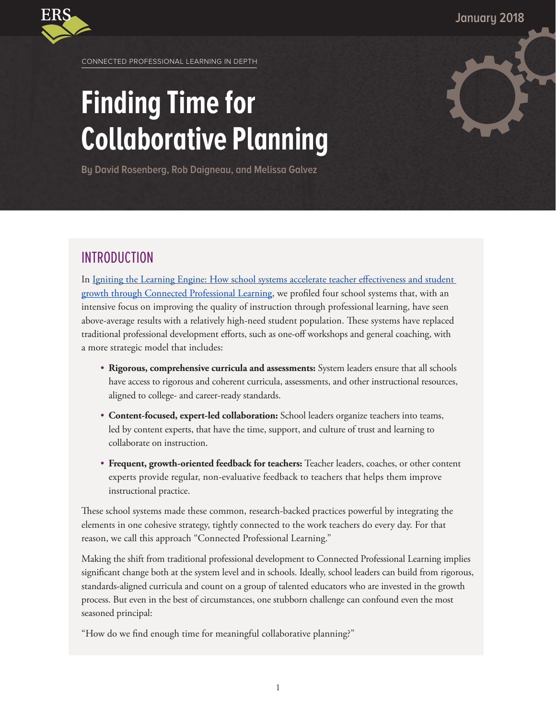**January 2018**



CONNECTED PROFESSIONAL LEARNING IN DEPTH

# **Finding Time for Collaborative Planning**

**By David Rosenberg, Rob Daigneau, and Melissa Galvez**

# INTRODUCTION

In [Igniting the Learning Engine: How school systems accelerate teacher effectiveness and student](https://www.erstrategies.org/tap/connected_professional_learning)  [growth through Connected Professional Learning,](https://www.erstrategies.org/tap/connected_professional_learning) we profiled four school systems that, with an intensive focus on improving the quality of instruction through professional learning, have seen above-average results with a relatively high-need student population. These systems have replaced traditional professional development efforts, such as one-off workshops and general coaching, with a more strategic model that includes:

- **Rigorous, comprehensive curricula and assessments:** System leaders ensure that all schools have access to rigorous and coherent curricula, assessments, and other instructional resources, aligned to college- and career-ready standards.
- **Content-focused, expert-led collaboration:** School leaders organize teachers into teams, led by content experts, that have the time, support, and culture of trust and learning to collaborate on instruction.
- **Frequent, growth-oriented feedback for teachers:** Teacher leaders, coaches, or other content experts provide regular, non-evaluative feedback to teachers that helps them improve instructional practice.

These school systems made these common, research-backed practices powerful by integrating the elements in one cohesive strategy, tightly connected to the work teachers do every day. For that reason, we call this approach "Connected Professional Learning."

Making the shift from traditional professional development to Connected Professional Learning implies significant change both at the system level and in schools. Ideally, school leaders can build from rigorous, standards-aligned curricula and count on a group of talented educators who are invested in the growth process. But even in the best of circumstances, one stubborn challenge can confound even the most seasoned principal:

"How do we find enough time for meaningful collaborative planning?"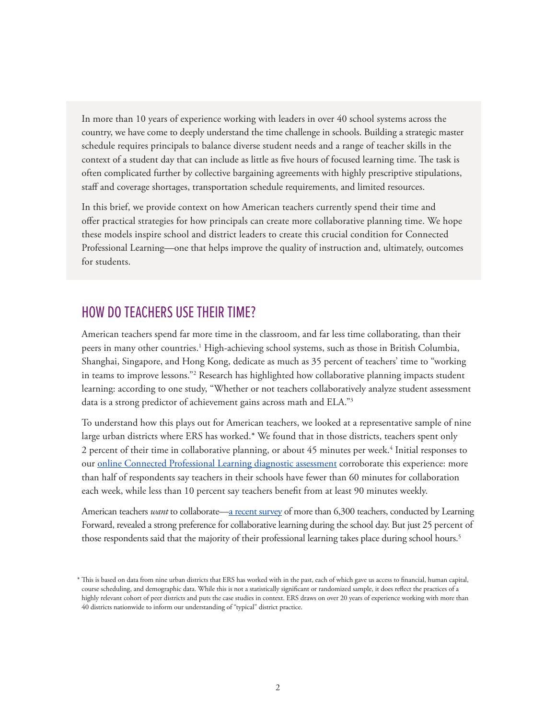In more than 10 years of experience working with leaders in over 40 school systems across the country, we have come to deeply understand the time challenge in schools. Building a strategic master schedule requires principals to balance diverse student needs and a range of teacher skills in the context of a student day that can include as little as five hours of focused learning time. The task is often complicated further by collective bargaining agreements with highly prescriptive stipulations, staff and coverage shortages, transportation schedule requirements, and limited resources.

In this brief, we provide context on how American teachers currently spend their time and offer practical strategies for how principals can create more collaborative planning time. We hope these models inspire school and district leaders to create this crucial condition for Connected Professional Learning—one that helps improve the quality of instruction and, ultimately, outcomes for students.

# HOW DO TEACHERS USE THEIR TIME?

American teachers spend far more time in the classroom, and far less time collaborating, than their peers in many other countries.<sup>1</sup> High-achieving school systems, such as those in British Columbia, Shanghai, Singapore, and Hong Kong, dedicate as much as 35 percent of teachers' time to "working in teams to improve lessons."<sup>2</sup> Research has highlighted how collaborative planning impacts student learning: according to one study, "Whether or not teachers collaboratively analyze student assessment data is a strong predictor of achievement gains across math and ELA."3

To understand how this plays out for American teachers, we looked at a representative sample of nine large urban districts where ERS has worked.\* We found that in those districts, teachers spent only  $2$  percent of their time in collaborative planning, or about  $45$  minutes per week. $^4$  Initial responses to our [online Connected Professional Learning diagnostic assessment](https://www.erstrategies.org/tap/professional_learning_diagnostic_tool) corroborate this experience: more than half of respondents say teachers in their schools have fewer than 60 minutes for collaboration each week, while less than 10 percent say teachers benefit from at least 90 minutes weekly.

American teachers *want* to collaborate[—a recent survey](https://learningforward.org/publications/recent-research-and-reports/state-of-teacher-professional-learning) of more than 6,300 teachers, conducted by Learning Forward, revealed a strong preference for collaborative learning during the school day. But just 25 percent of those respondents said that the majority of their professional learning takes place during school hours.<sup>5</sup>

<sup>\*</sup> This is based on data from nine urban districts that ERS has worked with in the past, each of which gave us access to financial, human capital, course scheduling, and demographic data. While this is not a statistically significant or randomized sample, it does reflect the practices of a highly relevant cohort of peer districts and puts the case studies in context. ERS draws on over 20 years of experience working with more than 40 districts nationwide to inform our understanding of "typical" district practice.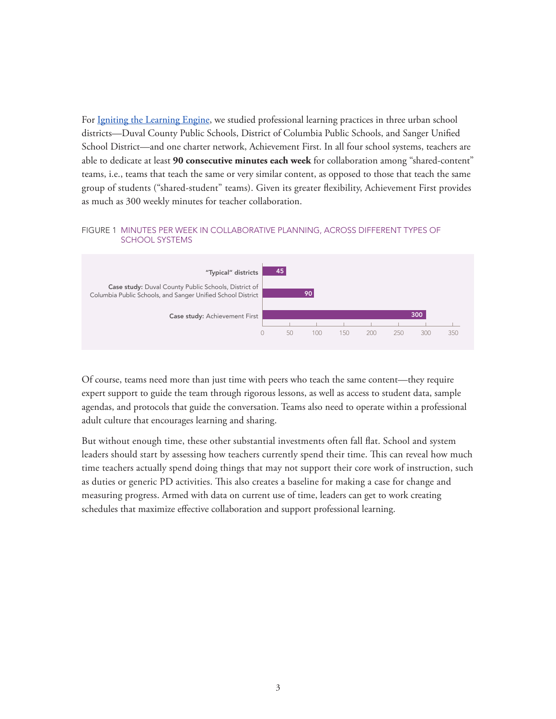For [Igniting the Learning Engine,](https://www.erstrategies.org/cms/files/3560-igniting-the-learning-engine.pdf) we studied professional learning practices in three urban school districts—Duval County Public Schools, District of Columbia Public Schools, and Sanger Unified School District—and one charter network, Achievement First. In all four school systems, teachers are able to dedicate at least **90 consecutive minutes each week** for collaboration among "shared-content" teams, i.e., teams that teach the same or very similar content, as opposed to those that teach the same group of students ("shared-student" teams). Given its greater flexibility, Achievement First provides as much as 300 weekly minutes for teacher collaboration.

#### FIGURE 1 MINUTES PER WEEK IN COLLABORATIVE PLANNING, ACROSS DIFFERENT TYPES OF SCHOOL SYSTEMS



Of course, teams need more than just time with peers who teach the same content—they require expert support to guide the team through rigorous lessons, as well as access to student data, sample agendas, and protocols that guide the conversation. Teams also need to operate within a professional adult culture that encourages learning and sharing.

But without enough time, these other substantial investments often fall flat. School and system leaders should start by assessing how teachers currently spend their time. This can reveal how much time teachers actually spend doing things that may not support their core work of instruction, such as duties or generic PD activities. This also creates a baseline for making a case for change and measuring progress. Armed with data on current use of time, leaders can get to work creating schedules that maximize effective collaboration and support professional learning.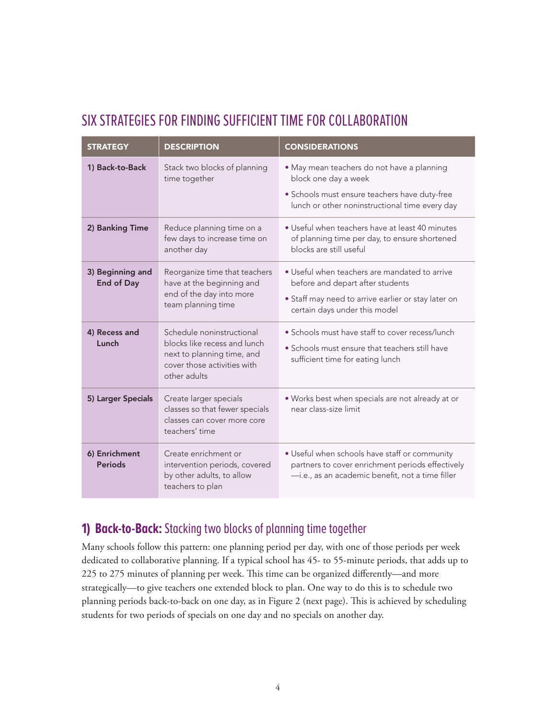# SIX STRATEGIES FOR FINDING SUFFICIENT TIME FOR COLLABORATION

| <b>STRATEGY</b>                       | <b>DESCRIPTION</b>                                                                                                                     | <b>CONSIDERATIONS</b>                                                                                                                                                     |
|---------------------------------------|----------------------------------------------------------------------------------------------------------------------------------------|---------------------------------------------------------------------------------------------------------------------------------------------------------------------------|
| 1) Back-to-Back                       | Stack two blocks of planning<br>time together                                                                                          | · May mean teachers do not have a planning<br>block one day a week<br>· Schools must ensure teachers have duty-free<br>lunch or other noninstructional time every day     |
| 2) Banking Time                       | Reduce planning time on a<br>few days to increase time on<br>another day                                                               | • Useful when teachers have at least 40 minutes<br>of planning time per day, to ensure shortened<br>blocks are still useful                                               |
| 3) Beginning and<br><b>End of Day</b> | Reorganize time that teachers<br>have at the beginning and<br>end of the day into more<br>team planning time                           | • Useful when teachers are mandated to arrive<br>before and depart after students<br>• Staff may need to arrive earlier or stay later on<br>certain days under this model |
| 4) Recess and<br>Lunch                | Schedule noninstructional<br>blocks like recess and lunch<br>next to planning time, and<br>cover those activities with<br>other adults | • Schools must have staff to cover recess/lunch<br>• Schools must ensure that teachers still have<br>sufficient time for eating lunch                                     |
| 5) Larger Specials                    | Create larger specials<br>classes so that fewer specials<br>classes can cover more core<br>teachers' time                              | . Works best when specials are not already at or<br>near class-size limit                                                                                                 |
| 6) Enrichment<br><b>Periods</b>       | Create enrichment or<br>intervention periods, covered<br>by other adults, to allow<br>teachers to plan                                 | . Useful when schools have staff or community<br>partners to cover enrichment periods effectively<br>-i.e., as an academic benefit, not a time filler                     |

# **1) Back-to-Back:** Stacking two blocks of planning time together

Many schools follow this pattern: one planning period per day, with one of those periods per week dedicated to collaborative planning. If a typical school has 45- to 55-minute periods, that adds up to 225 to 275 minutes of planning per week. This time can be organized differently—and more strategically—to give teachers one extended block to plan. One way to do this is to schedule two planning periods back-to-back on one day, as in Figure 2 (next page). This is achieved by scheduling students for two periods of specials on one day and no specials on another day.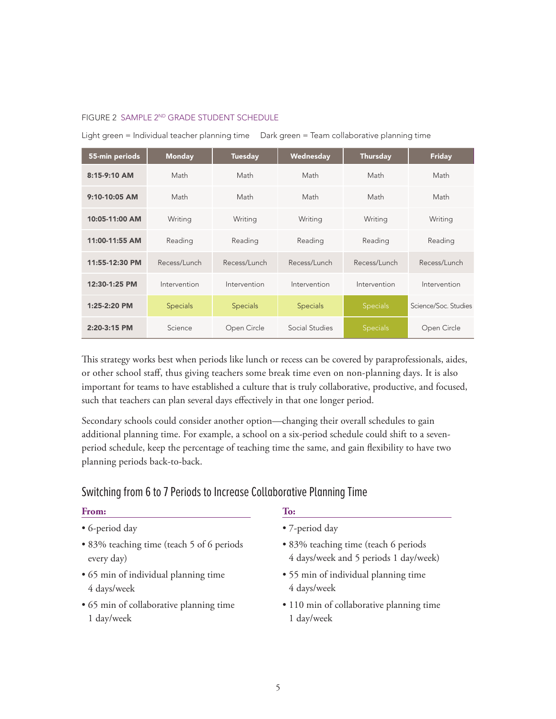#### FIGURE 2 SAMPLE 2ND GRADE STUDENT SCHEDULE

Light green = Individual teacher planning time Dark green = Team collaborative planning time

| 55-min periods | <b>Monday</b>   | <b>Tuesday</b>  | Wednesday       | <b>Thursday</b> | <b>Friday</b>        |
|----------------|-----------------|-----------------|-----------------|-----------------|----------------------|
| 8:15-9:10 AM   | Math            | Math            | Math            | Math            | Math                 |
| 9:10-10:05 AM  | Math            | Math            | Math            | Math            | Math                 |
| 10:05-11:00 AM | Writing         | Writing         | Writing         | Writing         | Writing              |
| 11:00-11:55 AM | Reading         | Reading         | Reading         | Reading         | Reading              |
| 11:55-12:30 PM | Recess/Lunch    | Recess/Lunch    | Recess/Lunch    | Recess/Lunch    | Recess/Lunch         |
| 12:30-1:25 PM  | Intervention    | Intervention    | Intervention    | Intervention    | Intervention         |
| $1:25-2:20$ PM | <b>Specials</b> | <b>Specials</b> | <b>Specials</b> | Specials        | Science/Soc. Studies |
| 2:20-3:15 PM   | Science         | Open Circle     | Social Studies  | Specials        | Open Circle          |

This strategy works best when periods like lunch or recess can be covered by paraprofessionals, aides, or other school staff, thus giving teachers some break time even on non-planning days. It is also important for teams to have established a culture that is truly collaborative, productive, and focused, such that teachers can plan several days effectively in that one longer period.

Secondary schools could consider another option—changing their overall schedules to gain additional planning time. For example, a school on a six-period schedule could shift to a sevenperiod schedule, keep the percentage of teaching time the same, and gain flexibility to have two planning periods back-to-back.

# Switching from 6 to 7 Periods to Increase Collaborative Planning Time

#### **From:**

- 6-period day
- 83% teaching time (teach 5 of 6 periods every day)
- 65 min of individual planning time 4 days/week
- 65 min of collaborative planning time 1 day/week

#### **To:**

- 7-period day
- 83% teaching time (teach 6 periods 4 days/week and 5 periods 1 day/week)
- 55 min of individual planning time 4 days/week
- 110 min of collaborative planning time 1 day/week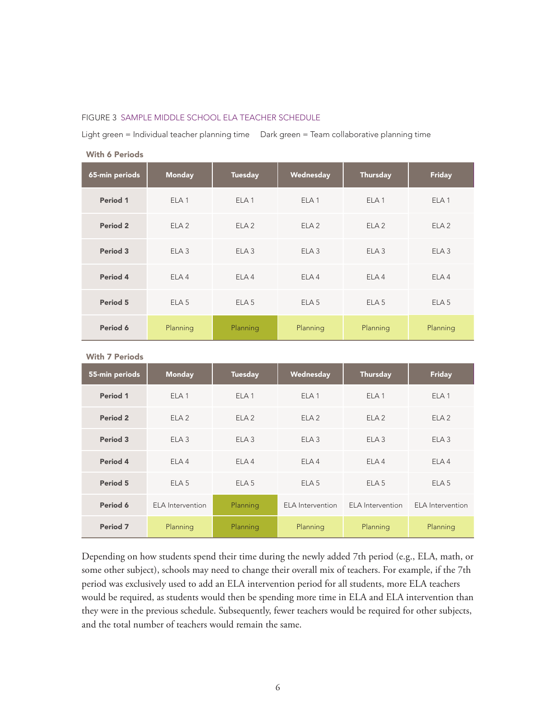#### FIGURE 3 SAMPLE MIDDLE SCHOOL ELA TEACHER SCHEDULE

Light green = Individual teacher planning time Dark green = Team collaborative planning time

| 65-min periods | <b>Monday</b>    | <b>Tuesday</b>   | Wednesday        | Thursday         | <b>Friday</b>    |
|----------------|------------------|------------------|------------------|------------------|------------------|
| Period 1       | ELA <sub>1</sub> | ELA <sub>1</sub> | ELA <sub>1</sub> | ELA <sub>1</sub> | ELA <sub>1</sub> |
| Period 2       | ELA2             | ELA2             | ELA2             | ELA2             | ELA2             |
| Period 3       | ELA3             | ELA3             | ELA3             | ELA3             | ELA3             |
| Period 4       | ELA <sub>4</sub> | FI A 4           | ELA4             | ELA <sub>4</sub> | ELA <sub>4</sub> |
| Period 5       | ELA <sub>5</sub> | ELA5             | ELA <sub>5</sub> | ELA <sub>5</sub> | ELA <sub>5</sub> |
| Period 6       | Planning         | Planning         | Planning         | Planning         | Planning         |

With 6 Periods

| <b>With 7 Periods</b> |  |  |
|-----------------------|--|--|
|-----------------------|--|--|

| 55-min periods      | <b>Monday</b>    | <b>Tuesday</b>   | Wednesday               | <b>Thursday</b>         | <b>Friday</b>           |
|---------------------|------------------|------------------|-------------------------|-------------------------|-------------------------|
| Period 1            | ELA <sub>1</sub> | ELA <sub>1</sub> | ELA <sub>1</sub>        | ELA <sub>1</sub>        | ELA <sub>1</sub>        |
| Period <sub>2</sub> | ELA2             | ELA2             | ELA2                    | ELA2                    | ELA2                    |
| Period 3            | ELA3             | ELA3             | ELA3                    | ELA3                    | ELA3                    |
| Period 4            | ELA <sub>4</sub> | ELA4             | ELA4                    | ELA <sub>4</sub>        | ELA4                    |
| Period <sub>5</sub> | ELA <sub>5</sub> | ELA <sub>5</sub> | ELA <sub>5</sub>        | ELA <sub>5</sub>        | ELA <sub>5</sub>        |
| Period 6            | ELA Intervention | Planning         | <b>ELA</b> Intervention | <b>ELA</b> Intervention | <b>ELA</b> Intervention |
| Period <sub>7</sub> | Planning         | Planning         | Planning                | Planning                | Planning                |

Depending on how students spend their time during the newly added 7th period (e.g., ELA, math, or some other subject), schools may need to change their overall mix of teachers. For example, if the 7th period was exclusively used to add an ELA intervention period for all students, more ELA teachers would be required, as students would then be spending more time in ELA and ELA intervention than they were in the previous schedule. Subsequently, fewer teachers would be required for other subjects, and the total number of teachers would remain the same.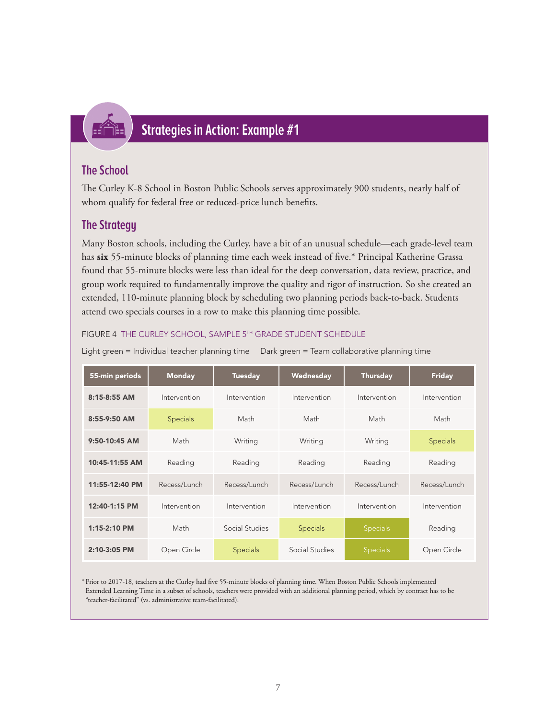

# **Strategies in Action: Example #1**

## **The School**

The Curley K-8 School in Boston Public Schools serves approximately 900 students, nearly half of whom qualify for federal free or reduced-price lunch benefits.

## **The Strategy**

Many Boston schools, including the Curley, have a bit of an unusual schedule—each grade-level team has **six** 55-minute blocks of planning time each week instead of five.\* Principal Katherine Grassa found that 55-minute blocks were less than ideal for the deep conversation, data review, practice, and group work required to fundamentally improve the quality and rigor of instruction. So she created an extended, 110-minute planning block by scheduling two planning periods back-to-back. Students attend two specials courses in a row to make this planning time possible.

#### FIGURE 4 THE CURLEY SCHOOL, SAMPLE 5TH GRADE STUDENT SCHEDULE

Light green = Individual teacher planning time Dark green = Team collaborative planning time

| 55-min periods  | <b>Monday</b>   | <b>Tuesday</b>  | Wednesday       | <b>Thursday</b> | <b>Friday</b> |
|-----------------|-----------------|-----------------|-----------------|-----------------|---------------|
| 8:15-8:55 AM    | Intervention    | Intervention    | Intervention    | Intervention    | Intervention  |
| 8:55-9:50 AM    | <b>Specials</b> | Math            | Math            | Math            | Math          |
| $9:50-10:45$ AM | Math            | Writing         | Writing         | Writing         | Specials      |
| 10:45-11:55 AM  | Reading         | Reading         | Reading         | Reading         | Reading       |
| 11:55-12:40 PM  | Recess/Lunch    | Recess/Lunch    | Recess/Lunch    | Recess/Lunch    | Recess/Lunch  |
| 12:40-1:15 PM   | Intervention    | Intervention    | Intervention    | Intervention    | Intervention  |
| 1:15-2:10 PM    | Math            | Social Studies  | <b>Specials</b> | <b>Specials</b> | Reading       |
| 2:10-3:05 PM    | Open Circle     | <b>Specials</b> | Social Studies  | <b>Specials</b> | Open Circle   |

\* Prior to 2017-18, teachers at the Curley had five 55-minute blocks of planning time. When Boston Public Schools implemented Extended Learning Time in a subset of schools, teachers were provided with an additional planning period, which by contract has to be "teacher-facilitated" (vs. administrative team-facilitated).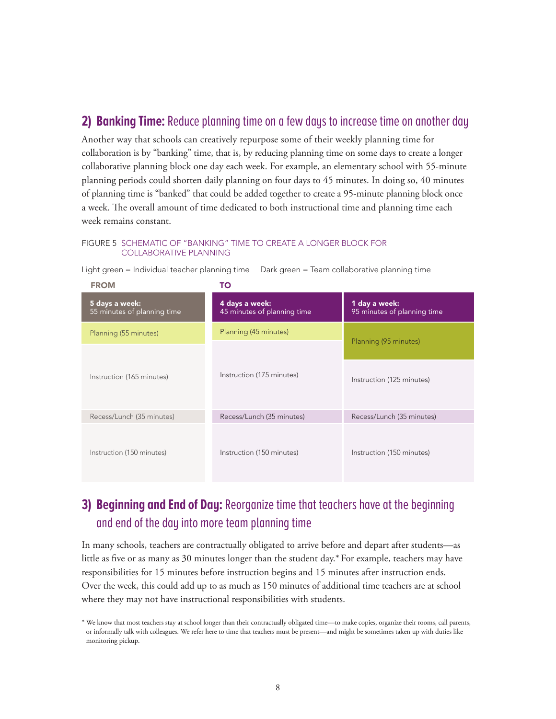## **2) Banking Time:** Reduce planning time on a few days to increase time on another day

Another way that schools can creatively repurpose some of their weekly planning time for collaboration is by "banking" time, that is, by reducing planning time on some days to create a longer collaborative planning block one day each week. For example, an elementary school with 55-minute planning periods could shorten daily planning on four days to 45 minutes. In doing so, 40 minutes of planning time is "banked" that could be added together to create a 95-minute planning block once a week. The overall amount of time dedicated to both instructional time and planning time each week remains constant.

#### FIGURE 5SCHEMATIC OF "BANKING" TIME TO CREATE A LONGER BLOCK FOR COLLABORATIVE PLANNING

Light green = Individual teacher planning time Dark green = Team collaborative planning time

| <b>FROM</b>                                            | το                                            |                                              |
|--------------------------------------------------------|-----------------------------------------------|----------------------------------------------|
| 5 days a week:<br>55 minutes of planning time          | 4 days a week:<br>45 minutes of planning time | 1 day a week:<br>95 minutes of planning time |
| Planning (55 minutes)                                  | Planning (45 minutes)                         | Planning (95 minutes)                        |
|                                                        |                                               |                                              |
| Instruction (165 minutes)                              | Instruction (175 minutes)                     | Instruction (125 minutes)                    |
| Recess/Lunch (35 minutes)<br>Recess/Lunch (35 minutes) |                                               | Recess/Lunch (35 minutes)                    |
| Instruction (150 minutes)                              | Instruction (150 minutes)                     | Instruction (150 minutes)                    |

# **3) Beginning and End of Day:** Reorganize time that teachers have at the beginning and end of the day into more team planning time

In many schools, teachers are contractually obligated to arrive before and depart after students—as little as five or as many as 30 minutes longer than the student day.\* For example, teachers may have responsibilities for 15 minutes before instruction begins and 15 minutes after instruction ends. Over the week, this could add up to as much as 150 minutes of additional time teachers are at school where they may not have instructional responsibilities with students.

<sup>\*</sup> We know that most teachers stay at school longer than their contractually obligated time—to make copies, organize their rooms, call parents, or informally talk with colleagues. We refer here to time that teachers must be present—and might be sometimes taken up with duties like monitoring pickup.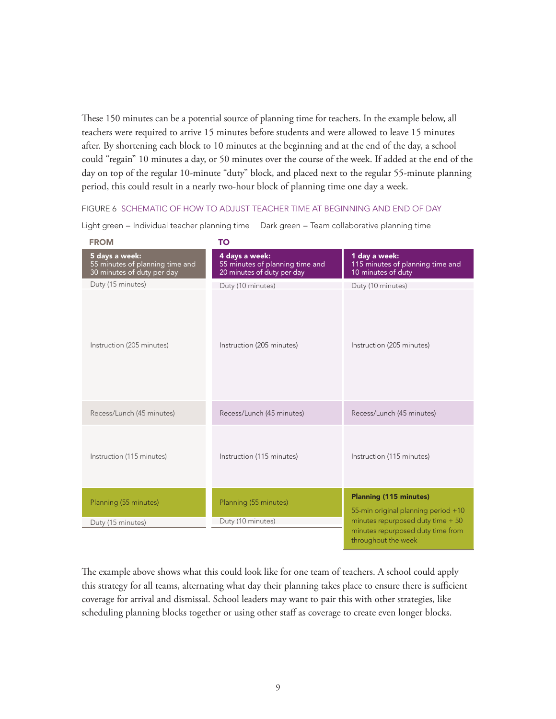These 150 minutes can be a potential source of planning time for teachers. In the example below, all teachers were required to arrive 15 minutes before students and were allowed to leave 15 minutes after. By shortening each block to 10 minutes at the beginning and at the end of the day, a school could "regain" 10 minutes a day, or 50 minutes over the course of the week. If added at the end of the day on top of the regular 10-minute "duty" block, and placed next to the regular 55-minute planning period, this could result in a nearly two-hour block of planning time one day a week.

#### FIGURE 6SCHEMATIC OF HOW TO ADJUST TEACHER TIME AT BEGINNING AND END OF DAY

Light green = Individual teacher planning time Dark green = Team collaborative planning time

| <b>FROM</b>                                                                     | TO                                                                              |                                                                         |
|---------------------------------------------------------------------------------|---------------------------------------------------------------------------------|-------------------------------------------------------------------------|
| 5 days a week:<br>55 minutes of planning time and<br>30 minutes of duty per day | 4 days a week:<br>55 minutes of planning time and<br>20 minutes of duty per day | 1 day a week:<br>115 minutes of planning time and<br>10 minutes of duty |
| Duty (15 minutes)                                                               | Duty (10 minutes)                                                               | Duty (10 minutes)                                                       |
| Instruction (205 minutes)                                                       | Instruction (205 minutes)                                                       | Instruction (205 minutes)                                               |
| Recess/Lunch (45 minutes)                                                       | Recess/Lunch (45 minutes)                                                       | Recess/Lunch (45 minutes)                                               |
| Instruction (115 minutes)                                                       | Instruction (115 minutes)                                                       | Instruction (115 minutes)                                               |
| Planning (55 minutes)                                                           | Planning (55 minutes)                                                           | <b>Planning (115 minutes)</b><br>55-min original planning period +10    |
| Duty (15 minutes)                                                               | Duty (10 minutes)                                                               | minutes repurposed duty time + 50                                       |
|                                                                                 |                                                                                 | minutes repurposed duty time from<br>throughout the week                |

The example above shows what this could look like for one team of teachers. A school could apply this strategy for all teams, alternating what day their planning takes place to ensure there is sufficient coverage for arrival and dismissal. School leaders may want to pair this with other strategies, like scheduling planning blocks together or using other staff as coverage to create even longer blocks.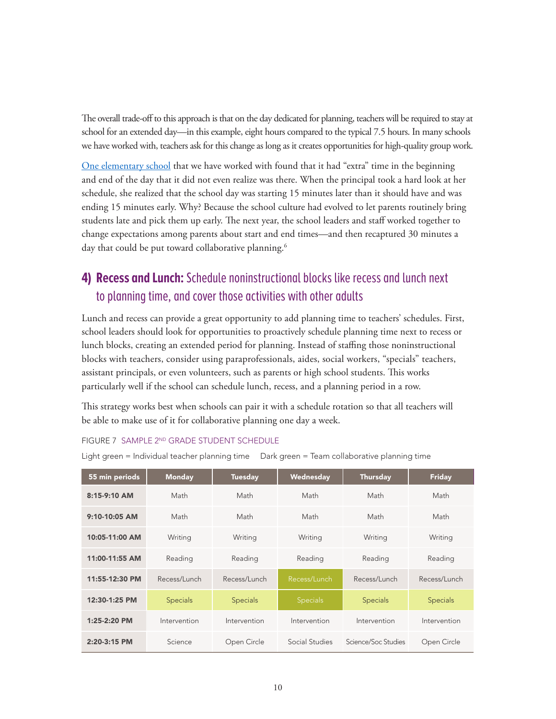The overall trade-off to this approach is that on the day dedicated for planning, teachers will be required to stay at school for an extended day—in this example, eight hours compared to the typical 7.5 hours. In many schools we have worked with, teachers ask for this change as long as it creates opportunities for high-quality group work.

[One elementary school](https://www.erstrategies.org/news/to_drive_change_realign_your_resources) that we have worked with found that it had "extra" time in the beginning and end of the day that it did not even realize was there. When the principal took a hard look at her schedule, she realized that the school day was starting 15 minutes later than it should have and was ending 15 minutes early. Why? Because the school culture had evolved to let parents routinely bring students late and pick them up early. The next year, the school leaders and staff worked together to change expectations among parents about start and end times—and then recaptured 30 minutes a day that could be put toward collaborative planning.<sup>6</sup>

# **4) Recess and Lunch:** Schedule noninstructional blocks like recess and lunch next to planning time, and cover those activities with other adults

Lunch and recess can provide a great opportunity to add planning time to teachers' schedules. First, school leaders should look for opportunities to proactively schedule planning time next to recess or lunch blocks, creating an extended period for planning. Instead of staffing those noninstructional blocks with teachers, consider using paraprofessionals, aides, social workers, "specials" teachers, assistant principals, or even volunteers, such as parents or high school students. This works particularly well if the school can schedule lunch, recess, and a planning period in a row.

This strategy works best when schools can pair it with a schedule rotation so that all teachers will be able to make use of it for collaborative planning one day a week.

#### FIGURE 7SAMPLE 2ND GRADE STUDENT SCHEDULE

Light green = Individual teacher planning time Dark green = Team collaborative planning time

| 55 min periods  | <b>Monday</b>   | <b>Tuesday</b>  | Wednesday       | Thursday            | <b>Friday</b>   |
|-----------------|-----------------|-----------------|-----------------|---------------------|-----------------|
| $8:15-9:10$ AM  | Math            | Math            | Math            | Math                | Math            |
| $9:10-10:05$ AM | Math            | Math            | Math            | Math                | Math            |
| 10:05-11:00 AM  | Writing         | Writing         | Writing         | Writing             | Writing         |
| 11:00-11:55 AM  | Reading         | Reading         | Reading         | Reading             | Reading         |
| 11:55-12:30 PM  | Recess/Lunch    | Recess/Lunch    | Recess/Lunch    | Recess/Lunch        | Recess/Lunch    |
| 12:30-1:25 PM   | <b>Specials</b> | <b>Specials</b> | <b>Specials</b> | <b>Specials</b>     | <b>Specials</b> |
| 1:25-2:20 PM    | Intervention    | Intervention    | Intervention    | Intervention        | Intervention    |
| $2:20-3:15$ PM  | Science         | Open Circle     | Social Studies  | Science/Soc Studies | Open Circle     |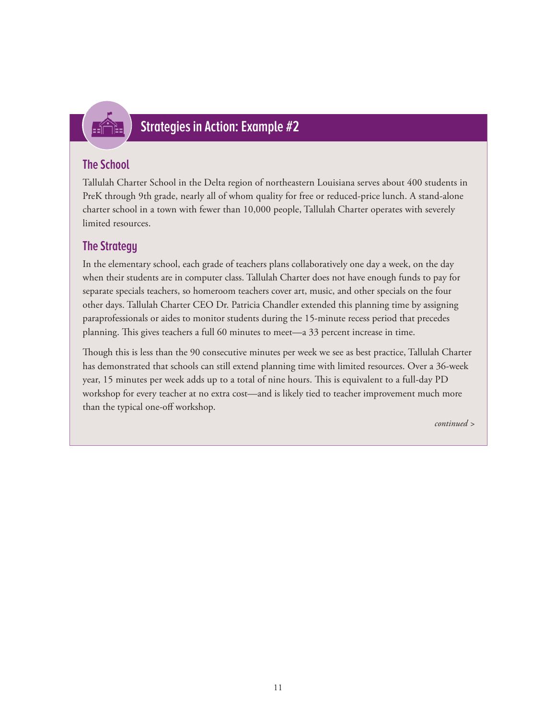

# **Strategies in Action: Example #2**

## **The School**

Tallulah Charter School in the Delta region of northeastern Louisiana serves about 400 students in PreK through 9th grade, nearly all of whom quality for free or reduced-price lunch. A stand-alone charter school in a town with fewer than 10,000 people, Tallulah Charter operates with severely limited resources.

# **The Strategy**

In the elementary school, each grade of teachers plans collaboratively one day a week, on the day when their students are in computer class. Tallulah Charter does not have enough funds to pay for separate specials teachers, so homeroom teachers cover art, music, and other specials on the four other days. Tallulah Charter CEO Dr. Patricia Chandler extended this planning time by assigning paraprofessionals or aides to monitor students during the 15-minute recess period that precedes planning. This gives teachers a full 60 minutes to meet—a 33 percent increase in time.

Though this is less than the 90 consecutive minutes per week we see as best practice, Tallulah Charter has demonstrated that schools can still extend planning time with limited resources. Over a 36-week year, 15 minutes per week adds up to a total of nine hours. This is equivalent to a full-day PD workshop for every teacher at no extra cost—and is likely tied to teacher improvement much more than the typical one-off workshop.

*continued >*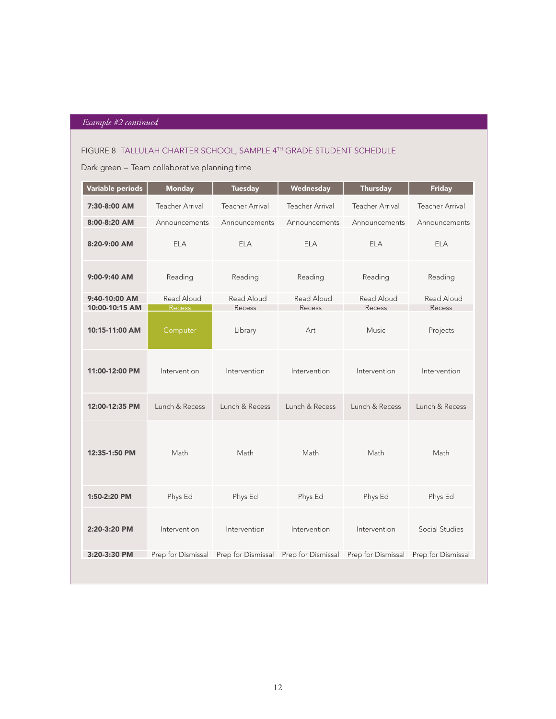## *Example #2 continued*

#### FIGURE 8TALLULAH CHARTER SCHOOL, SAMPLE 4TH GRADE STUDENT SCHEDULE

## Dark green = Team collaborative planning time

| Variable periods                | <b>Monday</b>               | <b>Tuesday</b>                                                              | Wednesday              | <b>Thursday</b>        | <b>Friday</b>          |
|---------------------------------|-----------------------------|-----------------------------------------------------------------------------|------------------------|------------------------|------------------------|
| 7:30-8:00 AM                    | <b>Teacher Arrival</b>      | <b>Teacher Arrival</b>                                                      | <b>Teacher Arrival</b> | <b>Teacher Arrival</b> | <b>Teacher Arrival</b> |
| 8:00-8:20 AM                    | Announcements               | Announcements                                                               | Announcements          | Announcements          | Announcements          |
| 8:20-9:00 AM                    | <b>ELA</b>                  | <b>ELA</b>                                                                  | <b>ELA</b>             | <b>ELA</b>             | <b>ELA</b>             |
| 9:00-9:40 AM                    | Reading                     | Reading                                                                     | Reading                | Reading                | Reading                |
| 9:40-10:00 AM<br>10:00-10:15 AM | Read Aloud<br><b>Recess</b> | Read Aloud<br>Recess                                                        | Read Aloud<br>Recess   | Read Aloud<br>Recess   | Read Aloud<br>Recess   |
| 10:15-11:00 AM                  | Computer                    | Library                                                                     | Art                    | <b>Music</b>           | Projects               |
| 11:00-12:00 PM                  | Intervention                | Intervention                                                                | Intervention           | Intervention           | Intervention           |
| 12:00-12:35 PM                  | Lunch & Recess              | Lunch & Recess                                                              | Lunch & Recess         | Lunch & Recess         | Lunch & Recess         |
| 12:35-1:50 PM                   | Math                        | Math                                                                        | Math                   | Math                   | Math                   |
| 1:50-2:20 PM                    | Phys Ed                     | Phys Ed                                                                     | Phys Ed                | Phys Ed                | Phys Ed                |
| 2:20-3:20 PM                    | Intervention                | Intervention                                                                | Intervention           | Intervention           | Social Studies         |
| 3:20-3:30 PM                    |                             | Prep for Dismissal Prep for Dismissal Prep for Dismissal Prep for Dismissal |                        |                        | Prep for Dismissal     |
|                                 |                             |                                                                             |                        |                        |                        |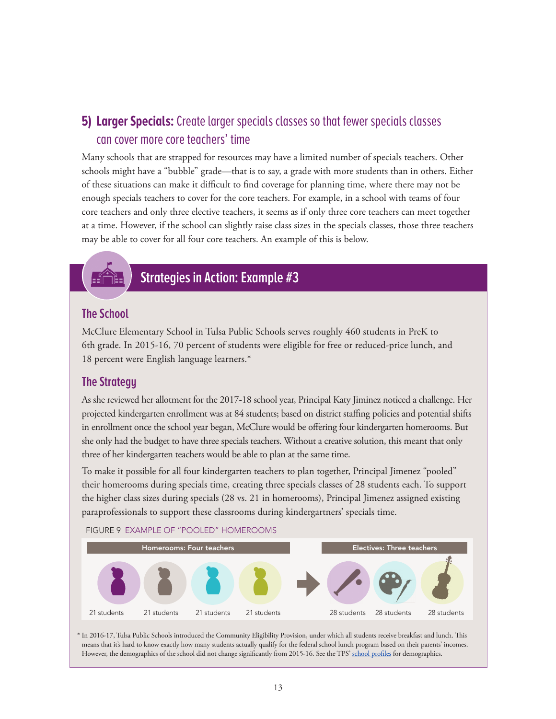# **5) Larger Specials:** Create larger specials classes so that fewer specials classes can cover more core teachers' time

Many schools that are strapped for resources may have a limited number of specials teachers. Other schools might have a "bubble" grade—that is to say, a grade with more students than in others. Either of these situations can make it difficult to find coverage for planning time, where there may not be enough specials teachers to cover for the core teachers. For example, in a school with teams of four core teachers and only three elective teachers, it seems as if only three core teachers can meet together at a time. However, if the school can slightly raise class sizes in the specials classes, those three teachers may be able to cover for all four core teachers. An example of this is below.



# **Strategies in Action: Example #3**

## **The School**

McClure Elementary School in Tulsa Public Schools serves roughly 460 students in PreK to 6th grade. In 2015-16, 70 percent of students were eligible for free or reduced-price lunch, and 18 percent were English language learners.\*

## **The Strategy**

As she reviewed her allotment for the 2017-18 school year, Principal Katy Jiminez noticed a challenge. Her projected kindergarten enrollment was at 84 students; based on district staffing policies and potential shifts in enrollment once the school year began, McClure would be offering four kindergarten homerooms. But she only had the budget to have three specials teachers. Without a creative solution, this meant that only three of her kindergarten teachers would be able to plan at the same time.

To make it possible for all four kindergarten teachers to plan together, Principal Jimenez "pooled" their homerooms during specials time, creating three specials classes of 28 students each. To support the higher class sizes during specials (28 vs. 21 in homerooms), Principal Jimenez assigned existing paraprofessionals to support these classrooms during kindergartners' specials time.



\* In 2016-17, Tulsa Public Schools introduced the Community Eligibility Provision, under which all students receive breakfast and lunch. This means that it's hard to know exactly how many students actually qualify for the federal school lunch program based on their parents' incomes. However, the demographics of the school did not change significantly from 2015-16. See the TPS' [school profiles](http://www.tulsaschools.org/4_About_District/our_schools_main.asp) for demographics.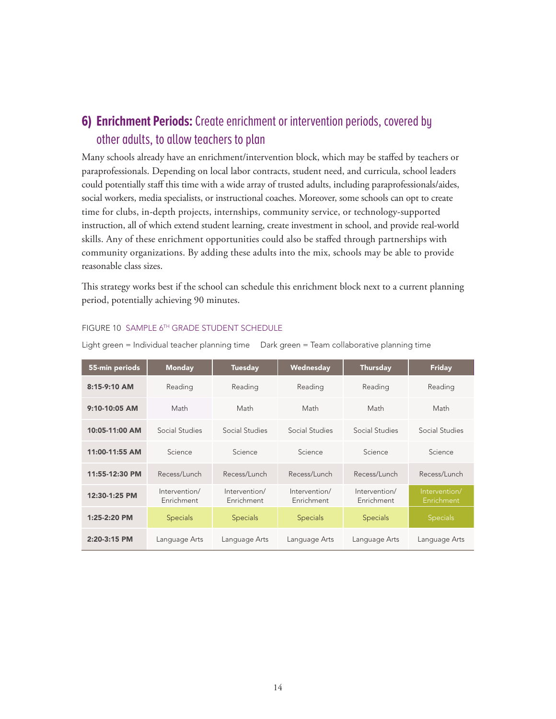# **6) Enrichment Periods:** Create enrichment or intervention periods, covered by other adults, to allow teachers to plan

Many schools already have an enrichment/intervention block, which may be staffed by teachers or paraprofessionals. Depending on local labor contracts, student need, and curricula, school leaders could potentially staff this time with a wide array of trusted adults, including paraprofessionals/aides, social workers, media specialists, or instructional coaches. Moreover, some schools can opt to create time for clubs, in-depth projects, internships, community service, or technology-supported instruction, all of which extend student learning, create investment in school, and provide real-world skills. Any of these enrichment opportunities could also be staffed through partnerships with community organizations. By adding these adults into the mix, schools may be able to provide reasonable class sizes.

This strategy works best if the school can schedule this enrichment block next to a current planning period, potentially achieving 90 minutes.

| 55-min periods  | <b>Monday</b>               | <b>Tuesday</b>              | Wednesday                   | <b>Thursday</b>             | <b>Friday</b>               |
|-----------------|-----------------------------|-----------------------------|-----------------------------|-----------------------------|-----------------------------|
| $8:15-9:10$ AM  | Reading                     | Reading                     | Reading                     | Reading                     | Reading                     |
| $9:10-10:05$ AM | Math                        | Math                        | Math                        | Math                        | Math                        |
| 10:05-11:00 AM  | Social Studies              | Social Studies              | Social Studies              | Social Studies              | Social Studies              |
| 11:00-11:55 AM  | Science                     | Science                     | Science                     | Science                     | Science                     |
| 11:55-12:30 PM  | Recess/Lunch                | Recess/Lunch                | Recess/Lunch                | Recess/Lunch                | Recess/Lunch                |
| 12:30-1:25 PM   | Intervention/<br>Enrichment | Intervention/<br>Enrichment | Intervention/<br>Enrichment | Intervention/<br>Enrichment | Intervention/<br>Enrichment |
| $1:25-2:20$ PM  | <b>Specials</b>             | <b>Specials</b>             | <b>Specials</b>             | <b>Specials</b>             | <b>Specials</b>             |
| $2:20-3:15$ PM  | Language Arts               | Language Arts               | Language Arts               | Language Arts               | Language Arts               |

#### FIGURE 10SAMPLE 6TH GRADE STUDENT SCHEDULE

Light green = Individual teacher planning time Dark green = Team collaborative planning time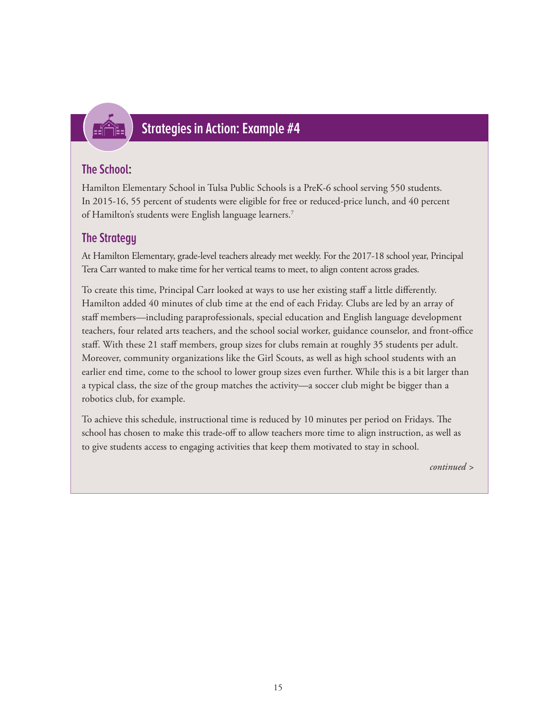

# **Strategies in Action: Example #4**

## **The School:**

Hamilton Elementary School in Tulsa Public Schools is a PreK-6 school serving 550 students. In 2015-16, 55 percent of students were eligible for free or reduced-price lunch, and 40 percent of Hamilton's students were English language learners.7

## **The Strategy**

At Hamilton Elementary, grade-level teachers already met weekly. For the 2017-18 school year, Principal Tera Carr wanted to make time for her vertical teams to meet, to align content across grades.

To create this time, Principal Carr looked at ways to use her existing staff a little differently. Hamilton added 40 minutes of club time at the end of each Friday. Clubs are led by an array of staff members—including paraprofessionals, special education and English language development teachers, four related arts teachers, and the school social worker, guidance counselor, and front-office staff. With these 21 staff members, group sizes for clubs remain at roughly 35 students per adult. Moreover, community organizations like the Girl Scouts, as well as high school students with an earlier end time, come to the school to lower group sizes even further. While this is a bit larger than a typical class, the size of the group matches the activity—a soccer club might be bigger than a robotics club, for example.

To achieve this schedule, instructional time is reduced by 10 minutes per period on Fridays. The school has chosen to make this trade-off to allow teachers more time to align instruction, as well as to give students access to engaging activities that keep them motivated to stay in school.

*continued >*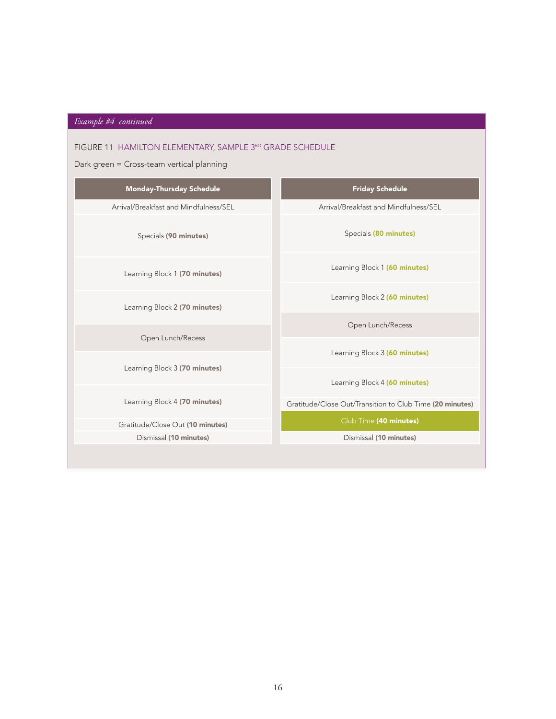# *Example #4 continued*

## FIGURE 11 HAMILTON ELEMENTARY, SAMPLE 3RD GRADE SCHEDULE

## Dark green = Cross-team vertical planning

| <b>Monday-Thursday Schedule</b>       | <b>Friday Schedule</b>                                   |
|---------------------------------------|----------------------------------------------------------|
| Arrival/Breakfast and Mindfulness/SEL | Arrival/Breakfast and Mindfulness/SEL                    |
| Specials (90 minutes)                 | Specials (80 minutes)                                    |
| Learning Block 1 (70 minutes)         | Learning Block 1 (60 minutes)                            |
| Learning Block 2 (70 minutes)         | Learning Block 2 (60 minutes)                            |
| Open Lunch/Recess                     | Open Lunch/Recess                                        |
| Learning Block 3 (70 minutes)         | Learning Block 3 (60 minutes)                            |
|                                       | Learning Block 4 (60 minutes)                            |
| Learning Block 4 (70 minutes)         | Gratitude/Close Out/Transition to Club Time (20 minutes) |
| Gratitude/Close Out (10 minutes)      | Club Time (40 minutes)                                   |
| Dismissal (10 minutes)                | Dismissal (10 minutes)                                   |
|                                       |                                                          |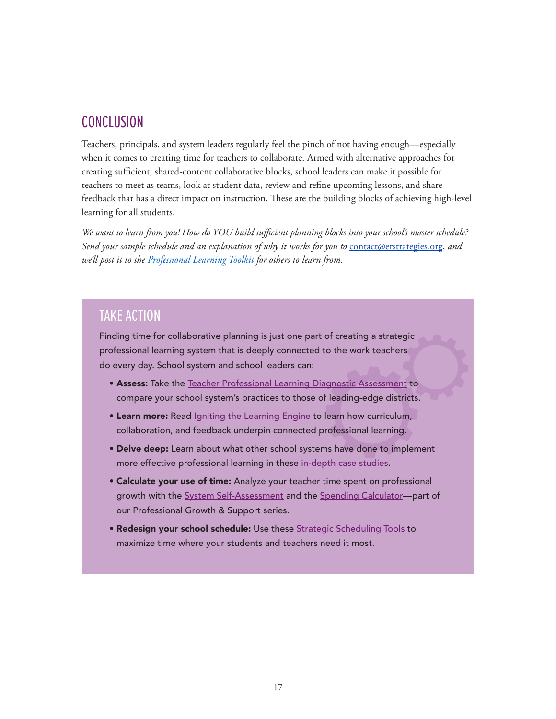## **CONCLUSION**

Teachers, principals, and system leaders regularly feel the pinch of not having enough—especially when it comes to creating time for teachers to collaborate. Armed with alternative approaches for creating sufficient, shared-content collaborative blocks, school leaders can make it possible for teachers to meet as teams, look at student data, review and refine upcoming lessons, and share feedback that has a direct impact on instruction. These are the building blocks of achieving high-level learning for all students.

*We want to learn from you! How do YOU build sufficient planning blocks into your school's master schedule? Send your sample schedule and an explanation of why it works for you to* [contact@erstrategies.org,](mailto:contact%40erstrategies.org?subject=) *and we'll post it to the [Professional Learning Toolkit](https://www.erstrategies.org/tap/professional_learning_toolkit) for others to learn from.*

# TAKE ACTION

Finding time for collaborative planning is just one part of creating a strategic professional learning system that is deeply connected to the work teachers do every day. School system and school leaders can:

- Assess: Take the [Teacher Professional Learning Diagnostic Assessment](https://www.erstrategies.org/tap/professional_learning_diagnostic_tool) to compare your school system's practices to those of leading-edge districts.
- Learn more: Read *[Igniting the Learning Engine](https://www.erstrategies.org/tap/connected_professional_learning) to learn how curriculum*, collaboration, and feedback underpin connected professional learning.
- Delve deep: Learn about what other school systems have done to implement more effective professional learning in these [in-depth case studies.](https://www.erstrategies.org/tap/connected_professional_learning_case_studies)
- Calculate your use of time: Analyze your teacher time spent on professional growth with the [System Self-Assessment](https://www.erstrategies.org/tap/pgs_system_self_assessment) and the [Spending Calculator](https://www.erstrategies.org/tap/pgs_spending_calculator)-part of our Professional Growth & Support series.
- Redesign your school schedule: Use these [Strategic Scheduling Tools](https://www.erstrategies.org/tap/school_scheduling_tools) to maximize time where your students and teachers need it most.